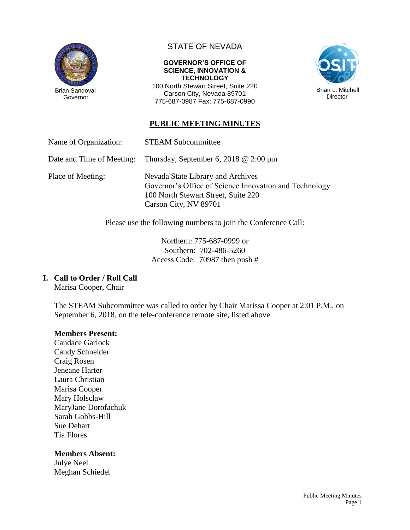

Governor

# STATE OF NEVADA

#### **GOVERNOR'S OFFICE OF SCIENCE, INNOVATION & TECHNOLOGY**

100 North Stewart Street, Suite 220 Carson City, Nevada 89701 775-687-0987 Fax: 775-687-0990



# **PUBLIC MEETING MINUTES**

Name of Organization: STEAM Subcommittee

Date and Time of Meeting: Thursday, September 6, 2018 @ 2:00 pm

Place of Meeting: Nevada State Library and Archives Governor's Office of Science Innovation and Technology 100 North Stewart Street, Suite 220 Carson City, NV 89701

Please use the following numbers to join the Conference Call:

Northern: 775-687-0999 or Southern: 702-486-5260 Access Code: 70987 then push #

## **I. Call to Order / Roll Call**

Marisa Cooper, Chair

The STEAM Subcommittee was called to order by Chair Marissa Cooper at 2:01 P.M., on September 6, 2018, on the tele-conference remote site, listed above.

#### **Members Present:**

Candace Garlock Candy Schneider Craig Rosen Jeneane Harter Laura Christian Marisa Cooper Mary Holsclaw MaryJane Dorofachuk Sarah Gobbs-Hill Sue Dehart Tia Flores

#### **Members Absent:**

Julye Neel Meghan Schiedel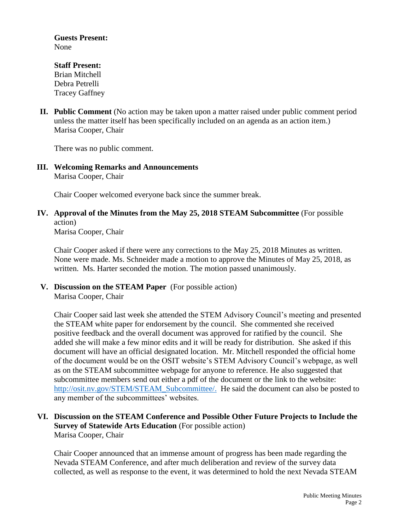**Guests Present:** None

# **Staff Present:**

Brian Mitchell Debra Petrelli Tracey Gaffney

**II. Public Comment** (No action may be taken upon a matter raised under public comment period unless the matter itself has been specifically included on an agenda as an action item.) Marisa Cooper, Chair

There was no public comment.

**III. Welcoming Remarks and Announcements** Marisa Cooper, Chair

Chair Cooper welcomed everyone back since the summer break.

**IV. Approval of the Minutes from the May 25, 2018 STEAM Subcommittee** (For possible action)

Marisa Cooper, Chair

Chair Cooper asked if there were any corrections to the May 25, 2018 Minutes as written. None were made. Ms. Schneider made a motion to approve the Minutes of May 25, 2018, as written. Ms. Harter seconded the motion. The motion passed unanimously.

**V. Discussion on the STEAM Paper** (For possible action) Marisa Cooper, Chair

Chair Cooper said last week she attended the STEM Advisory Council's meeting and presented the STEAM white paper for endorsement by the council. She commented she received positive feedback and the overall document was approved for ratified by the council. She added she will make a few minor edits and it will be ready for distribution. She asked if this document will have an official designated location. Mr. Mitchell responded the official home of the document would be on the OSIT website's STEM Advisory Council's webpage, as well as on the STEAM subcommittee webpage for anyone to reference. He also suggested that subcommittee members send out either a pdf of the document or the link to the website: [http://osit.nv.gov/STEM/STEAM\\_Subcommittee/.](http://osit.nv.gov/STEM/STEAM_Subcommittee/) He said the document can also be posted to any member of the subcommittees' websites.

## **VI. Discussion on the STEAM Conference and Possible Other Future Projects to Include the Survey of Statewide Arts Education** (For possible action) Marisa Cooper, Chair

Chair Cooper announced that an immense amount of progress has been made regarding the Nevada STEAM Conference, and after much deliberation and review of the survey data collected, as well as response to the event, it was determined to hold the next Nevada STEAM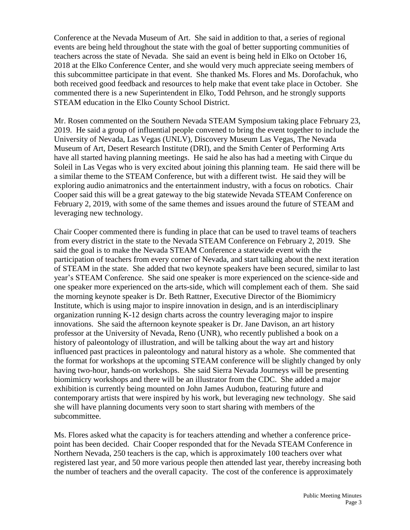Conference at the Nevada Museum of Art. She said in addition to that, a series of regional events are being held throughout the state with the goal of better supporting communities of teachers across the state of Nevada. She said an event is being held in Elko on October 16, 2018 at the Elko Conference Center, and she would very much appreciate seeing members of this subcommittee participate in that event. She thanked Ms. Flores and Ms. Dorofachuk, who both received good feedback and resources to help make that event take place in October. She commented there is a new Superintendent in Elko, Todd Pehrson, and he strongly supports STEAM education in the Elko County School District.

Mr. Rosen commented on the Southern Nevada STEAM Symposium taking place February 23, 2019. He said a group of influential people convened to bring the event together to include the University of Nevada, Las Vegas (UNLV), Discovery Museum Las Vegas, The Nevada Museum of Art, Desert Research Institute (DRI), and the Smith Center of Performing Arts have all started having planning meetings. He said he also has had a meeting with Cirque du Soleil in Las Vegas who is very excited about joining this planning team. He said there will be a similar theme to the STEAM Conference, but with a different twist. He said they will be exploring audio animatronics and the entertainment industry, with a focus on robotics. Chair Cooper said this will be a great gateway to the big statewide Nevada STEAM Conference on February 2, 2019, with some of the same themes and issues around the future of STEAM and leveraging new technology.

Chair Cooper commented there is funding in place that can be used to travel teams of teachers from every district in the state to the Nevada STEAM Conference on February 2, 2019. She said the goal is to make the Nevada STEAM Conference a statewide event with the participation of teachers from every corner of Nevada, and start talking about the next iteration of STEAM in the state. She added that two keynote speakers have been secured, similar to last year's STEAM Conference. She said one speaker is more experienced on the science-side and one speaker more experienced on the arts-side, which will complement each of them. She said the morning keynote speaker is Dr. Beth Rattner, Executive Director of the Biomimicry Institute, which is using major to inspire innovation in design, and is an interdisciplinary organization running K-12 design charts across the country leveraging major to inspire innovations. She said the afternoon keynote speaker is Dr. Jane Davison, an art history professor at the University of Nevada, Reno (UNR), who recently published a book on a history of paleontology of illustration, and will be talking about the way art and history influenced past practices in paleontology and natural history as a whole. She commented that the format for workshops at the upcoming STEAM conference will be slightly changed by only having two-hour, hands-on workshops. She said Sierra Nevada Journeys will be presenting biomimicry workshops and there will be an illustrator from the CDC. She added a major exhibition is currently being mounted on John James Audubon, featuring future and contemporary artists that were inspired by his work, but leveraging new technology. She said she will have planning documents very soon to start sharing with members of the subcommittee.

Ms. Flores asked what the capacity is for teachers attending and whether a conference pricepoint has been decided. Chair Cooper responded that for the Nevada STEAM Conference in Northern Nevada, 250 teachers is the cap, which is approximately 100 teachers over what registered last year, and 50 more various people then attended last year, thereby increasing both the number of teachers and the overall capacity. The cost of the conference is approximately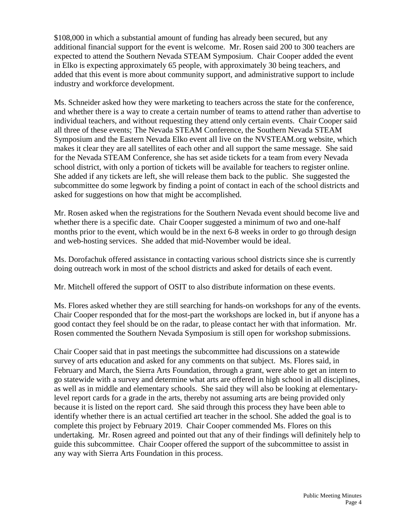\$108,000 in which a substantial amount of funding has already been secured, but any additional financial support for the event is welcome. Mr. Rosen said 200 to 300 teachers are expected to attend the Southern Nevada STEAM Symposium. Chair Cooper added the event in Elko is expecting approximately 65 people, with approximately 30 being teachers, and added that this event is more about community support, and administrative support to include industry and workforce development.

Ms. Schneider asked how they were marketing to teachers across the state for the conference, and whether there is a way to create a certain number of teams to attend rather than advertise to individual teachers, and without requesting they attend only certain events. Chair Cooper said all three of these events; The Nevada STEAM Conference, the Southern Nevada STEAM Symposium and the Eastern Nevada Elko event all live on the NVSTEAM.org website, which makes it clear they are all satellites of each other and all support the same message. She said for the Nevada STEAM Conference, she has set aside tickets for a team from every Nevada school district, with only a portion of tickets will be available for teachers to register online. She added if any tickets are left, she will release them back to the public. She suggested the subcommittee do some legwork by finding a point of contact in each of the school districts and asked for suggestions on how that might be accomplished.

Mr. Rosen asked when the registrations for the Southern Nevada event should become live and whether there is a specific date. Chair Cooper suggested a minimum of two and one-half months prior to the event, which would be in the next 6-8 weeks in order to go through design and web-hosting services. She added that mid-November would be ideal.

Ms. Dorofachuk offered assistance in contacting various school districts since she is currently doing outreach work in most of the school districts and asked for details of each event.

Mr. Mitchell offered the support of OSIT to also distribute information on these events.

Ms. Flores asked whether they are still searching for hands-on workshops for any of the events. Chair Cooper responded that for the most-part the workshops are locked in, but if anyone has a good contact they feel should be on the radar, to please contact her with that information. Mr. Rosen commented the Southern Nevada Symposium is still open for workshop submissions.

Chair Cooper said that in past meetings the subcommittee had discussions on a statewide survey of arts education and asked for any comments on that subject. Ms. Flores said, in February and March, the Sierra Arts Foundation, through a grant, were able to get an intern to go statewide with a survey and determine what arts are offered in high school in all disciplines, as well as in middle and elementary schools. She said they will also be looking at elementarylevel report cards for a grade in the arts, thereby not assuming arts are being provided only because it is listed on the report card. She said through this process they have been able to identify whether there is an actual certified art teacher in the school. She added the goal is to complete this project by February 2019. Chair Cooper commended Ms. Flores on this undertaking. Mr. Rosen agreed and pointed out that any of their findings will definitely help to guide this subcommittee. Chair Cooper offered the support of the subcommittee to assist in any way with Sierra Arts Foundation in this process.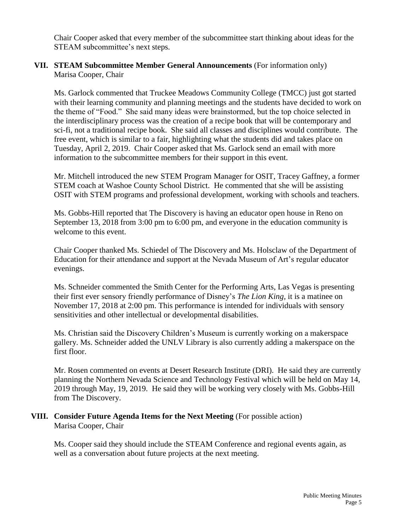Chair Cooper asked that every member of the subcommittee start thinking about ideas for the STEAM subcommittee's next steps.

### **VII. STEAM Subcommittee Member General Announcements** (For information only) Marisa Cooper, Chair

Ms. Garlock commented that Truckee Meadows Community College (TMCC) just got started with their learning community and planning meetings and the students have decided to work on the theme of "Food." She said many ideas were brainstormed, but the top choice selected in the interdisciplinary process was the creation of a recipe book that will be contemporary and sci-fi, not a traditional recipe book. She said all classes and disciplines would contribute. The free event, which is similar to a fair, highlighting what the students did and takes place on Tuesday, April 2, 2019. Chair Cooper asked that Ms. Garlock send an email with more information to the subcommittee members for their support in this event.

Mr. Mitchell introduced the new STEM Program Manager for OSIT, Tracey Gaffney, a former STEM coach at Washoe County School District. He commented that she will be assisting OSIT with STEM programs and professional development, working with schools and teachers.

Ms. Gobbs-Hill reported that The Discovery is having an educator open house in Reno on September 13, 2018 from 3:00 pm to 6:00 pm, and everyone in the education community is welcome to this event.

Chair Cooper thanked Ms. Schiedel of The Discovery and Ms. Holsclaw of the Department of Education for their attendance and support at the Nevada Museum of Art's regular educator evenings.

Ms. Schneider commented the Smith Center for the Performing Arts, Las Vegas is presenting their first ever sensory friendly performance of Disney's *The Lion King,* it is a matinee on November 17, 2018 at 2:00 pm. This performance is intended for individuals with sensory sensitivities and other intellectual or developmental disabilities.

Ms. Christian said the Discovery Children's Museum is currently working on a makerspace gallery. Ms. Schneider added the UNLV Library is also currently adding a makerspace on the first floor.

Mr. Rosen commented on events at Desert Research Institute (DRI). He said they are currently planning the Northern Nevada Science and Technology Festival which will be held on May 14, 2019 through May, 19, 2019. He said they will be working very closely with Ms. Gobbs-Hill from The Discovery.

**VIII. Consider Future Agenda Items for the Next Meeting** (For possible action) Marisa Cooper, Chair

Ms. Cooper said they should include the STEAM Conference and regional events again, as well as a conversation about future projects at the next meeting.